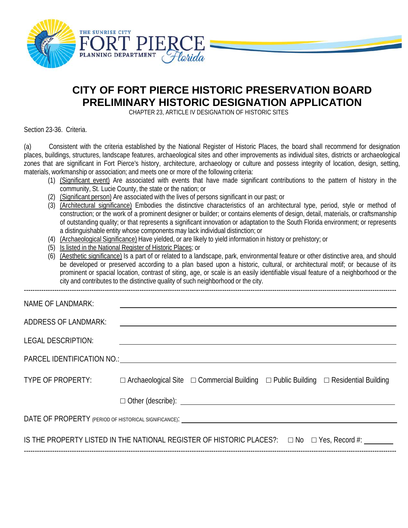

## **CITY OF FORT PIERCE HISTORIC PRESERVATION BOARD PRELIMINARY HISTORIC DESIGNATION APPLICATION**

CHAPTER 23, ARTICLE IV DESIGNATION OF HISTORIC SITES

Section 23-36. Criteria.

(a) Consistent with the criteria established by the National Register of Historic Places, the board shall recommend for designation places, buildings, structures, landscape features, archaeological sites and other improvements as individual sites, districts or archaeological zones that are significant in Fort Pierce's history, architecture, archaeology or culture and possess integrity of location, design, setting, materials, workmanship or association; and meets one or more of the following criteria:

- (1) (Significant event) Are associated with events that have made significant contributions to the pattern of history in the community, St. Lucie County, the state or the nation; or
- (2) (Significant person) Are associated with the lives of persons significant in our past; or
- (3) (Architectural significance) Embodies the distinctive characteristics of an architectural type, period, style or method of construction; or the work of a prominent designer or builder; or contains elements of design, detail, materials, or craftsmanship of outstanding quality; or that represents a significant innovation or adaptation to the South Florida environment; or represents a distinguishable entity whose components may lack individual distinction; or
- (4) (Archaeological Significance) Have yielded, or are likely to yield information in history or prehistory; or
- (5) Is listed in the National Register of Historic Places; or
- (6) (Aesthetic significance) Is a part of or related to a landscape, park, environmental feature or other distinctive area, and should be developed or preserved according to a plan based upon a historic, cultural, or architectural motif; or because of its prominent or spacial location, contrast of siting, age, or scale is an easily identifiable visual feature of a neighborhood or the city and contributes to the distinctive quality of such neighborhood or the city.

| NAME OF LANDMARK:                                                                                                                                                                                                              |  |                                                                                                          |  |  |  |
|--------------------------------------------------------------------------------------------------------------------------------------------------------------------------------------------------------------------------------|--|----------------------------------------------------------------------------------------------------------|--|--|--|
| <b>ADDRESS OF LANDMARK:</b>                                                                                                                                                                                                    |  |                                                                                                          |  |  |  |
| <b>LEGAL DESCRIPTION:</b>                                                                                                                                                                                                      |  |                                                                                                          |  |  |  |
| PARCEL IDENTIFICATION NO.: UNITS AND A SERIES AND A SERIES AND A SERIES AND A SERIES AND A SERIES AND A SERIES AND A SERIES AND A SERIES AND A SERIES AND A SERIES AND A SERIES AND A SERIES AND A SERIES AND A SERIES AND A S |  |                                                                                                          |  |  |  |
| TYPE OF PROPERTY:                                                                                                                                                                                                              |  | $\Box$ Archaeological Site $\Box$ Commercial Building $\Box$ Public Building $\Box$ Residential Building |  |  |  |
|                                                                                                                                                                                                                                |  | $\Box$ Other (describe): $\Box$                                                                          |  |  |  |
|                                                                                                                                                                                                                                |  |                                                                                                          |  |  |  |
| IS THE PROPERTY LISTED IN THE NATIONAL REGISTER OF HISTORIC PLACES?: $\Box$ No $\Box$ Yes, Record #:                                                                                                                           |  |                                                                                                          |  |  |  |
|                                                                                                                                                                                                                                |  |                                                                                                          |  |  |  |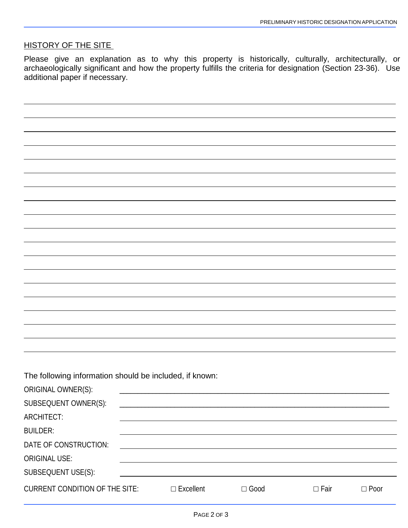## HISTORY OF THE SITE

Please give an explanation as to why this property is historically, culturally, architecturally, or archaeologically significant and how the property fulfills the criteria for designation (Section 23-36). Use additional paper if necessary.

The following information should be included, if known:

| <b>CURRENT CONDITION OF THE SITE:</b> | $\Box$ Excellent | $\Box$ Good | $\Box$ Fair | $\Box$ Poor |
|---------------------------------------|------------------|-------------|-------------|-------------|
|                                       |                  |             |             |             |